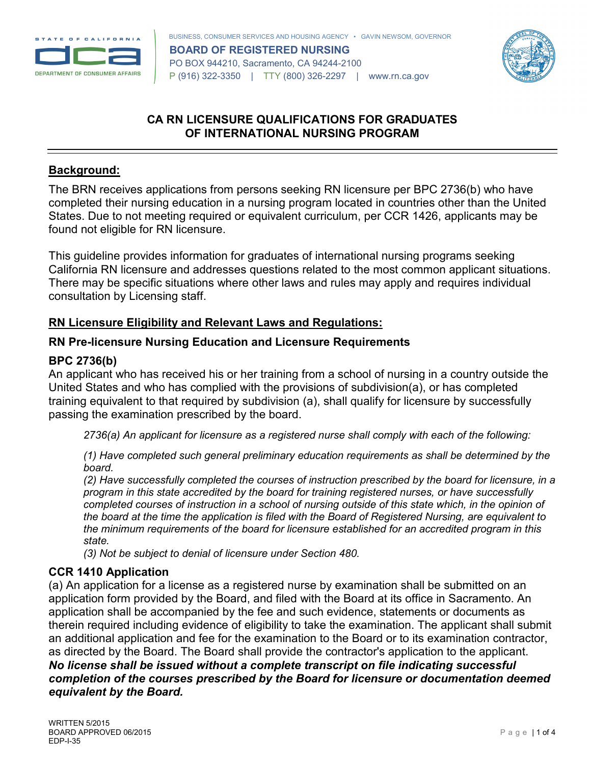



# **CA RN LICENSURE QUALIFICATIONS FOR GRADUATES OF INTERNATIONAL NURSING PROGRAM**

### **Background:**

The BRN receives applications from persons seeking RN licensure per BPC 2736(b) who have completed their nursing education in a nursing program located in countries other than the United States. Due to not meeting required or equivalent curriculum, per CCR 1426, applicants may be found not eligible for RN licensure.

This guideline provides information for graduates of international nursing programs seeking California RN licensure and addresses questions related to the most common applicant situations. There may be specific situations where other laws and rules may apply and requires individual consultation by Licensing staff.

# **RN Licensure Eligibility and Relevant Laws and Regulations:**

#### **RN Pre-licensure Nursing Education and Licensure Requirements**

#### **BPC 2736(b)**

An applicant who has received his or her training from a school of nursing in a country outside the United States and who has complied with the provisions of subdivision(a), or has completed training equivalent to that required by subdivision (a), shall qualify for licensure by successfully passing the examination prescribed by the board.

*2736(a) An applicant for licensure as a registered nurse shall comply with each of the following:*

*(1) Have completed such general preliminary education requirements as shall be determined by the board.*

*(2) Have successfully completed the courses of instruction prescribed by the board for licensure, in a program in this state accredited by the board for training registered nurses, or have successfully completed courses of instruction in a school of nursing outside of this state which, in the opinion of the board at the time the application is filed with the Board of Registered Nursing, are equivalent to the minimum requirements of the board for licensure established for an accredited program in this state.*

*(3) Not be subject to denial of licensure under Section 480.*

# **CCR 1410 Application**

(a) An application for a license as a registered nurse by examination shall be submitted on an application form provided by the Board, and filed with the Board at its office in Sacramento. An application shall be accompanied by the fee and such evidence, statements or documents as therein required including evidence of eligibility to take the examination. The applicant shall submit an additional application and fee for the examination to the Board or to its examination contractor, as directed by the Board. The Board shall provide the contractor's application to the applicant.

*No license shall be issued without a complete transcript on file indicating successful completion of the courses prescribed by the Board for licensure or documentation deemed equivalent by the Board.*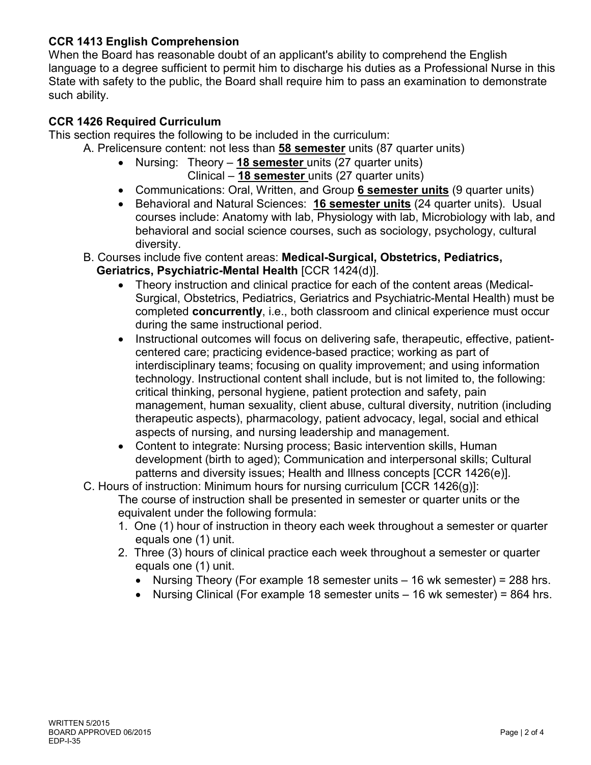# **CCR 1413 English Comprehension**

When the Board has reasonable doubt of an applicant's ability to comprehend the English language to a degree sufficient to permit him to discharge his duties as a Professional Nurse in this State with safety to the public, the Board shall require him to pass an examination to demonstrate such ability.

# **CCR 1426 Required Curriculum**

This section requires the following to be included in the curriculum:

- A. Prelicensure content: not less than **58 semester** units (87 quarter units)
	- Nursing: Theory **18 semester** units (27 quarter units) Clinical – **18 semester** units (27 quarter units)
	- Communications: Oral, Written, and Group **6 semester units** (9 quarter units)
	- Behavioral and Natural Sciences: **16 semester units** (24 quarter units). Usual courses include: Anatomy with lab, Physiology with lab, Microbiology with lab, and behavioral and social science courses, such as sociology, psychology, cultural diversity.
	- B. Courses include five content areas: **Medical-Surgical, Obstetrics, Pediatrics, Geriatrics, Psychiatric-Mental Health** [CCR 1424(d)].
		- Theory instruction and clinical practice for each of the content areas (Medical-Surgical, Obstetrics, Pediatrics, Geriatrics and Psychiatric-Mental Health) must be completed **concurrently**, i.e., both classroom and clinical experience must occur during the same instructional period.
		- Instructional outcomes will focus on delivering safe, therapeutic, effective, patientcentered care; practicing evidence-based practice; working as part of interdisciplinary teams; focusing on quality improvement; and using information technology. Instructional content shall include, but is not limited to, the following: critical thinking, personal hygiene, patient protection and safety, pain management, human sexuality, client abuse, cultural diversity, nutrition (including therapeutic aspects), pharmacology, patient advocacy, legal, social and ethical aspects of nursing, and nursing leadership and management.
		- Content to integrate: Nursing process; Basic intervention skills, Human development (birth to aged); Communication and interpersonal skills; Cultural patterns and diversity issues; Health and Illness concepts [CCR 1426(e)].
	- C. Hours of instruction: Minimum hours for nursing curriculum [CCR 1426(g)]:
		- The course of instruction shall be presented in semester or quarter units or the equivalent under the following formula:
			- 1. One (1) hour of instruction in theory each week throughout a semester or quarter equals one (1) unit.
			- 2. Three (3) hours of clinical practice each week throughout a semester or quarter equals one (1) unit.
				- Nursing Theory (For example 18 semester units 16 wk semester) = 288 hrs.
				- Nursing Clinical (For example 18 semester units 16 wk semester) = 864 hrs.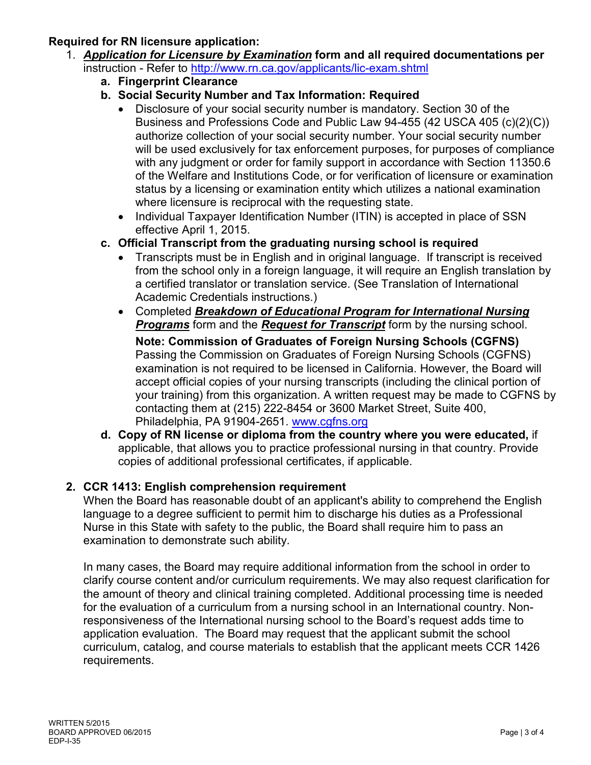#### **Required for RN licensure application:**

- 1. *Application for Licensure by Examination* **form and all required documentations per** instruction - Refer to<http://www.rn.ca.gov/applicants/lic-exam.shtml>
	- **a. Fingerprint Clearance**

# **b. Social Security Number and Tax Information: Required**

- Disclosure of your social security number is mandatory. Section 30 of the Business and Professions Code and Public Law 94-455 (42 USCA 405 (c)(2)(C)) authorize collection of your social security number. Your social security number will be used exclusively for tax enforcement purposes, for purposes of compliance with any judgment or order for family support in accordance with Section 11350.6 of the Welfare and Institutions Code, or for verification of licensure or examination status by a licensing or examination entity which utilizes a national examination where licensure is reciprocal with the requesting state.
- Individual Taxpayer Identification Number (ITIN) is accepted in place of SSN effective April 1, 2015.
- **c. Official Transcript from the graduating nursing school is required**
	- Transcripts must be in English and in original language. If transcript is received from the school only in a foreign language, it will require an English translation by a certified translator or translation service. (See Translation of International Academic Credentials instructions.)
	- Completed *Breakdown of Educational Program for International Nursing Programs* form and the *Request for Transcript* form by the nursing school.

**Note: Commission of Graduates of Foreign Nursing Schools (CGFNS)**  Passing the Commission on Graduates of Foreign Nursing Schools (CGFNS) examination is not required to be licensed in California. However, the Board will accept official copies of your nursing transcripts (including the clinical portion of your training) from this organization. A written request may be made to CGFNS by contacting them at (215) 222-8454 or 3600 Market Street, Suite 400, Philadelphia, PA 91904-2651. [www.cgfns.org](http://www.cgfns.org/)

**d. Copy of RN license or diploma from the country where you were educated,** if applicable, that allows you to practice professional nursing in that country. Provide copies of additional professional certificates, if applicable.

# **2. CCR 1413: English comprehension requirement**

When the Board has reasonable doubt of an applicant's ability to comprehend the English language to a degree sufficient to permit him to discharge his duties as a Professional Nurse in this State with safety to the public, the Board shall require him to pass an examination to demonstrate such ability.

In many cases, the Board may require additional information from the school in order to clarify course content and/or curriculum requirements. We may also request clarification for the amount of theory and clinical training completed. Additional processing time is needed for the evaluation of a curriculum from a nursing school in an International country. Nonresponsiveness of the International nursing school to the Board's request adds time to application evaluation. The Board may request that the applicant submit the school curriculum, catalog, and course materials to establish that the applicant meets CCR 1426 requirements.